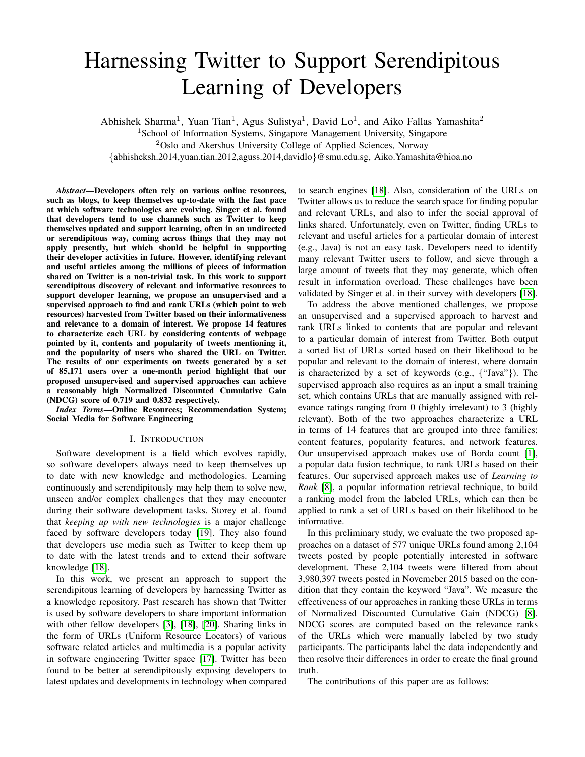# Harnessing Twitter to Support Serendipitous Learning of Developers

Abhishek Sharma<sup>1</sup>, Yuan Tian<sup>1</sup>, Agus Sulistya<sup>1</sup>, David Lo<sup>1</sup>, and Aiko Fallas Yamashita<sup>2</sup>

<sup>1</sup>School of Information Systems, Singapore Management University, Singapore

<sup>2</sup>Oslo and Akershus University College of Applied Sciences, Norway

{abhisheksh.2014,yuan.tian.2012,aguss.2014,davidlo}@smu.edu.sg, Aiko.Yamashita@hioa.no

*Abstract*—Developers often rely on various online resources, such as blogs, to keep themselves up-to-date with the fast pace at which software technologies are evolving. Singer et al. found that developers tend to use channels such as Twitter to keep themselves updated and support learning, often in an undirected or serendipitous way, coming across things that they may not apply presently, but which should be helpful in supporting their developer activities in future. However, identifying relevant and useful articles among the millions of pieces of information shared on Twitter is a non-trivial task. In this work to support serendipitous discovery of relevant and informative resources to support developer learning, we propose an unsupervised and a supervised approach to find and rank URLs (which point to web resources) harvested from Twitter based on their informativeness and relevance to a domain of interest. We propose 14 features to characterize each URL by considering contents of webpage pointed by it, contents and popularity of tweets mentioning it, and the popularity of users who shared the URL on Twitter. The results of our experiments on tweets generated by a set of 85,171 users over a one-month period highlight that our proposed unsupervised and supervised approaches can achieve a reasonably high Normalized Discounted Cumulative Gain (NDCG) score of 0.719 and 0.832 respectively.

*Index Terms*—Online Resources; Recommendation System; Social Media for Software Engineering

#### I. INTRODUCTION

Software development is a field which evolves rapidly, so software developers always need to keep themselves up to date with new knowledge and methodologies. Learning continuously and serendipitously may help them to solve new, unseen and/or complex challenges that they may encounter during their software development tasks. Storey et al. found that *keeping up with new technologies* is a major challenge faced by software developers today [\[19\]](#page-4-0). They also found that developers use media such as Twitter to keep them up to date with the latest trends and to extend their software knowledge [\[18\]](#page-4-1).

In this work, we present an approach to support the serendipitous learning of developers by harnessing Twitter as a knowledge repository. Past research has shown that Twitter is used by software developers to share important information with other fellow developers [\[3\]](#page-4-2), [\[18\]](#page-4-1), [\[20\]](#page-4-3). Sharing links in the form of URLs (Uniform Resource Locators) of various software related articles and multimedia is a popular activity in software engineering Twitter space [\[17\]](#page-4-4). Twitter has been found to be better at serendipitously exposing developers to latest updates and developments in technology when compared to search engines [\[18\]](#page-4-1). Also, consideration of the URLs on Twitter allows us to reduce the search space for finding popular and relevant URLs, and also to infer the social approval of links shared. Unfortunately, even on Twitter, finding URLs to relevant and useful articles for a particular domain of interest (e.g., Java) is not an easy task. Developers need to identify many relevant Twitter users to follow, and sieve through a large amount of tweets that they may generate, which often result in information overload. These challenges have been validated by Singer et al. in their survey with developers [\[18\]](#page-4-1).

To address the above mentioned challenges, we propose an unsupervised and a supervised approach to harvest and rank URLs linked to contents that are popular and relevant to a particular domain of interest from Twitter. Both output a sorted list of URLs sorted based on their likelihood to be popular and relevant to the domain of interest, where domain is characterized by a set of keywords (e.g., {"Java"}). The supervised approach also requires as an input a small training set, which contains URLs that are manually assigned with relevance ratings ranging from 0 (highly irrelevant) to 3 (highly relevant). Both of the two approaches characterize a URL in terms of 14 features that are grouped into three families: content features, popularity features, and network features. Our unsupervised approach makes use of Borda count [\[1\]](#page-4-5), a popular data fusion technique, to rank URLs based on their features. Our supervised approach makes use of *Learning to Rank* [\[8\]](#page-4-6), a popular information retrieval technique, to build a ranking model from the labeled URLs, which can then be applied to rank a set of URLs based on their likelihood to be informative.

In this preliminary study, we evaluate the two proposed approaches on a dataset of 577 unique URLs found among 2,104 tweets posted by people potentially interested in software development. These 2,104 tweets were filtered from about 3,980,397 tweets posted in Novemeber 2015 based on the condition that they contain the keyword "Java". We measure the effectiveness of our approaches in ranking these URLs in terms of Normalized Discounted Cumulative Gain (NDCG) [\[8\]](#page-4-6). NDCG scores are computed based on the relevance ranks of the URLs which were manually labeled by two study participants. The participants label the data independently and then resolve their differences in order to create the final ground truth.

The contributions of this paper are as follows: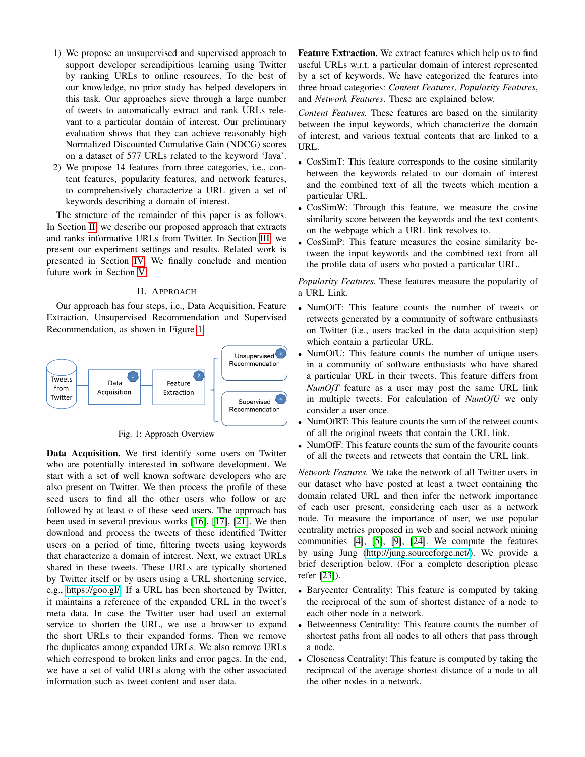- 1) We propose an unsupervised and supervised approach to support developer serendipitious learning using Twitter by ranking URLs to online resources. To the best of our knowledge, no prior study has helped developers in this task. Our approaches sieve through a large number of tweets to automatically extract and rank URLs relevant to a particular domain of interest. Our preliminary evaluation shows that they can achieve reasonably high Normalized Discounted Cumulative Gain (NDCG) scores on a dataset of 577 URLs related to the keyword 'Java'.
- 2) We propose 14 features from three categories, i.e., content features, popularity features, and network features, to comprehensively characterize a URL given a set of keywords describing a domain of interest.

The structure of the remainder of this paper is as follows. In Section [II,](#page-1-0) we describe our proposed approach that extracts and ranks informative URLs from Twitter. In Section [III,](#page-2-0) we present our experiment settings and results. Related work is presented in Section [IV.](#page-3-0) We finally conclude and mention future work in Section [V.](#page-4-7)

## II. APPROACH

<span id="page-1-0"></span>Our approach has four steps, i.e., Data Acquisition, Feature Extraction, Unsupervised Recommendation and Supervised Recommendation, as shown in Figure [1.](#page-1-1)

<span id="page-1-1"></span>

Fig. 1: Approach Overview

Data Acquisition. We first identify some users on Twitter who are potentially interested in software development. We start with a set of well known software developers who are also present on Twitter. We then process the profile of these seed users to find all the other users who follow or are followed by at least  $n$  of these seed users. The approach has been used in several previous works [\[16\]](#page-4-8), [\[17\]](#page-4-4), [\[21\]](#page-4-9). We then download and process the tweets of these identified Twitter users on a period of time, filtering tweets using keywords that characterize a domain of interest. Next, we extract URLs shared in these tweets. These URLs are typically shortened by Twitter itself or by users using a URL shortening service, e.g., [https://goo.gl/.](https://goo.gl/) If a URL has been shortened by Twitter, it maintains a reference of the expanded URL in the tweet's meta data. In case the Twitter user had used an external service to shorten the URL, we use a browser to expand the short URLs to their expanded forms. Then we remove the duplicates among expanded URLs. We also remove URLs which correspond to broken links and error pages. In the end, we have a set of valid URLs along with the other associated information such as tweet content and user data.

Feature Extraction. We extract features which help us to find useful URLs w.r.t. a particular domain of interest represented by a set of keywords. We have categorized the features into three broad categories: *Content Features*, *Popularity Features*, and *Network Features*. These are explained below.

*Content Features.* These features are based on the similarity between the input keywords, which characterize the domain of interest, and various textual contents that are linked to a URL.

- CosSimT: This feature corresponds to the cosine similarity between the keywords related to our domain of interest and the combined text of all the tweets which mention a particular URL.
- CosSimW: Through this feature, we measure the cosine similarity score between the keywords and the text contents on the webpage which a URL link resolves to.
- CosSimP: This feature measures the cosine similarity between the input keywords and the combined text from all the profile data of users who posted a particular URL.

*Popularity Features.* These features measure the popularity of a URL Link.

- NumOfT: This feature counts the number of tweets or retweets generated by a community of software enthusiasts on Twitter (i.e., users tracked in the data acquisition step) which contain a particular URL.
- NumOfU: This feature counts the number of unique users in a community of software enthusiasts who have shared a particular URL in their tweets. This feature differs from *NumOfT* feature as a user may post the same URL link in multiple tweets. For calculation of *NumOfU* we only consider a user once.
- NumOfRT: This feature counts the sum of the retweet counts of all the original tweets that contain the URL link.
- NumOfF: This feature counts the sum of the favourite counts of all the tweets and retweets that contain the URL link.

*Network Features.* We take the network of all Twitter users in our dataset who have posted at least a tweet containing the domain related URL and then infer the network importance of each user present, considering each user as a network node. To measure the importance of user, we use popular centrality metrics proposed in web and social network mining communities [\[4\]](#page-4-10), [\[5\]](#page-4-11), [\[9\]](#page-4-12), [\[24\]](#page-4-13). We compute the features by using Jung [\(http://jung.sourceforge.net/\)](http://jung.sourceforge.net/). We provide a brief description below. (For a complete description please refer [\[23\]](#page-4-14)).

- Barycenter Centrality: This feature is computed by taking the reciprocal of the sum of shortest distance of a node to each other node in a network.
- Betweenness Centrality: This feature counts the number of shortest paths from all nodes to all others that pass through a node.
- Closeness Centrality: This feature is computed by taking the reciprocal of the average shortest distance of a node to all the other nodes in a network.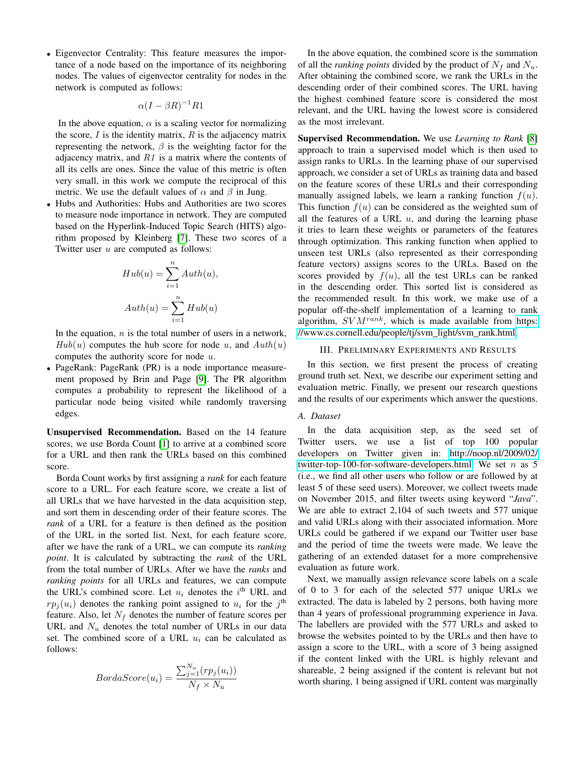• Eigenvector Centrality: This feature measures the importance of a node based on the importance of its neighboring nodes. The values of eigenvector centrality for nodes in the network is computed as follows:

$$
\alpha (I - \beta R)^{-1} R1
$$

In the above equation,  $\alpha$  is a scaling vector for normalizing the score,  $I$  is the identity matrix,  $R$  is the adjacency matrix representing the network,  $\beta$  is the weighting factor for the adjacency matrix, and  $R1$  is a matrix where the contents of all its cells are ones. Since the value of this metric is often very small, in this work we compute the reciprocal of this metric. We use the default values of  $\alpha$  and  $\beta$  in Jung.

• Hubs and Authorities: Hubs and Authorities are two scores to measure node importance in network. They are computed based on the Hyperlink-Induced Topic Search (HITS) algorithm proposed by Kleinberg [\[7\]](#page-4-15). These two scores of a Twitter user u are computed as follows:

$$
Hub(u) = \sum_{i=1}^{n} Author(u),
$$
  

$$
Auth(u) = \sum_{i=1}^{n} Hub(u)
$$

In the equation,  $n$  is the total number of users in a network,  $Hub(u)$  computes the hub score for node u, and  $Auth(u)$ computes the authority score for node u.

• PageRank: PageRank (PR) is a node importance measurement proposed by Brin and Page [\[9\]](#page-4-12). The PR algorithm computes a probability to represent the likelihood of a particular node being visited while randomly traversing edges.

Unsupervised Recommendation. Based on the 14 feature scores, we use Borda Count [\[1\]](#page-4-5) to arrive at a combined score for a URL and then rank the URLs based on this combined score.

Borda Count works by first assigning a *rank* for each feature score to a URL. For each feature score, we create a list of all URLs that we have harvested in the data acquisition step, and sort them in descending order of their feature scores. The *rank* of a URL for a feature is then defined as the position of the URL in the sorted list. Next, for each feature score, after we have the rank of a URL, we can compute its *ranking point*. It is calculated by subtracting the *rank* of the URL from the total number of URLs. After we have the *ranks* and *ranking points* for all URLs and features, we can compute the URL's combined score. Let  $u_i$  denotes the  $i^{\text{th}}$  URL and  $rp_j(u_i)$  denotes the ranking point assigned to  $u_i$  for the j<sup>th</sup> feature. Also, let  $N_f$  denotes the number of feature scores per URL and  $N_u$  denotes the total number of URLs in our data set. The combined score of a URL  $u_i$  can be calculated as follows:

$$
BordaScore(u_i) = \frac{\sum_{j=1}^{N_u} (rp_j(u_i))}{N_f \times N_u}
$$

In the above equation, the combined score is the summation of all the *ranking points* divided by the product of  $N_f$  and  $N_u$ . After obtaining the combined score, we rank the URLs in the descending order of their combined scores. The URL having the highest combined feature score is considered the most relevant, and the URL having the lowest score is considered as the most irrelevant.

Supervised Recommendation. We use *Learning to Rank* [\[8\]](#page-4-6) approach to train a supervised model which is then used to assign ranks to URLs. In the learning phase of our supervised approach, we consider a set of URLs as training data and based on the feature scores of these URLs and their corresponding manually assigned labels, we learn a ranking function  $f(u)$ . This function  $f(u)$  can be considered as the weighted sum of all the features of a URL  $u$ , and during the learning phase it tries to learn these weights or parameters of the features through optimization. This ranking function when applied to unseen test URLs (also represented as their corresponding feature vectors) assigns scores to the URLs. Based on the scores provided by  $f(u)$ , all the test URLs can be ranked in the descending order. This sorted list is considered as the recommended result. In this work, we make use of a popular off-the-shelf implementation of a learning to rank algorithm,  $SVM^{rank}$ , which is made available from [https:](https://www.cs.cornell.edu/people/tj/svm_light/svm_rank.html) [//www.cs.cornell.edu/people/tj/svm](https://www.cs.cornell.edu/people/tj/svm_light/svm_rank.html)\_light/svm\_rank.html.

## III. PRELIMINARY EXPERIMENTS AND RESULTS

<span id="page-2-0"></span>In this section, we first present the process of creating ground truth set. Next, we describe our experiment setting and evaluation metric. Finally, we present our research questions and the results of our experiments which answer the questions.

## *A. Dataset*

In the data acquisition step, as the seed set of Twitter users, we use a list of top 100 popular developers on Twitter given in: [http://noop.nl/2009/02/](http://noop.nl/2009/02/twitter-top-100-for-software-developers.html) [twitter-top-100-for-software-developers.html.](http://noop.nl/2009/02/twitter-top-100-for-software-developers.html) We set  $n$  as 5 (i.e., we find all other users who follow or are followed by at least 5 of these seed users). Moreover, we collect tweets made on November 2015, and filter tweets using keyword "*Java*". We are able to extract 2,104 of such tweets and 577 unique and valid URLs along with their associated information. More URLs could be gathered if we expand our Twitter user base and the period of time the tweets were made. We leave the gathering of an extended dataset for a more comprehensive evaluation as future work.

Next, we manually assign relevance score labels on a scale of 0 to 3 for each of the selected 577 unique URLs we extracted. The data is labeled by 2 persons, both having more than 4 years of professional programming experience in Java. The labellers are provided with the 577 URLs and asked to browse the websites pointed to by the URLs and then have to assign a score to the URL, with a score of 3 being assigned if the content linked with the URL is highly relevant and shareable, 2 being assigned if the content is relevant but not worth sharing, 1 being assigned if URL content was marginally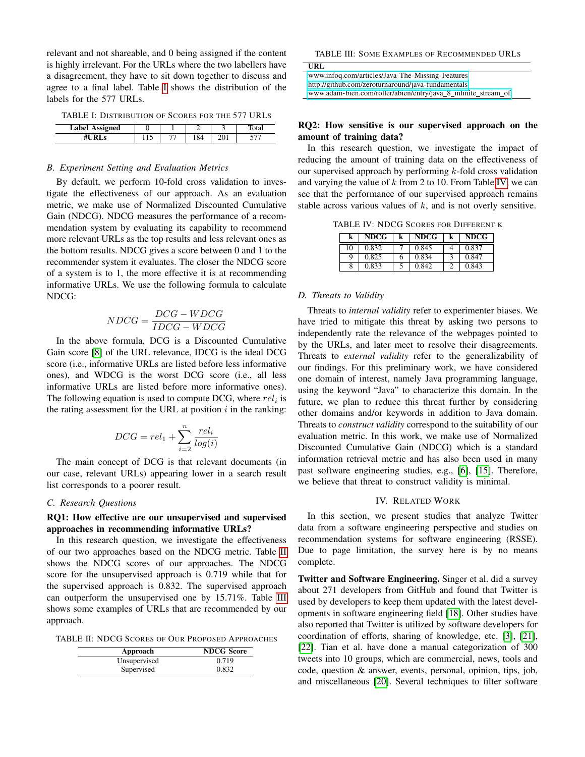relevant and not shareable, and 0 being assigned if the content is highly irrelevant. For the URLs where the two labellers have a disagreement, they have to sit down together to discuss and agree to a final label. Table [I](#page-3-1) shows the distribution of the labels for the 577 URLs.

<span id="page-3-1"></span>

| <b>Label Assigned</b> |  |      |  |
|-----------------------|--|------|--|
|                       |  | ' 84 |  |

# TABLE I: DISTRIBUTION OF SCORES FOR THE 577 URLS

## *B. Experiment Setting and Evaluation Metrics*

By default, we perform 10-fold cross validation to investigate the effectiveness of our approach. As an evaluation metric, we make use of Normalized Discounted Cumulative Gain (NDCG). NDCG measures the performance of a recommendation system by evaluating its capability to recommend more relevant URLs as the top results and less relevant ones as the bottom results. NDCG gives a score between 0 and 1 to the recommender system it evaluates. The closer the NDCG score of a system is to 1, the more effective it is at recommending informative URLs. We use the following formula to calculate NDCG:

$$
NDCG = \frac{DCG - WDCG}{IDCG - WDCG}
$$

In the above formula, DCG is a Discounted Cumulative Gain score [\[8\]](#page-4-6) of the URL relevance, IDCG is the ideal DCG score (i.e., informative URLs are listed before less informative ones), and WDCG is the worst DCG score (i.e., all less informative URLs are listed before more informative ones). The following equation is used to compute DCG, where  $rel_i$  is the rating assessment for the URL at position  $i$  in the ranking:

$$
DCG = rel_1 + \sum_{i=2}^{n} \frac{rel_i}{log(i)}
$$

The main concept of DCG is that relevant documents (in our case, relevant URLs) appearing lower in a search result list corresponds to a poorer result.

## *C. Research Questions*

# RQ1: How effective are our unsupervised and supervised approaches in recommending informative URLs?

In this research question, we investigate the effectiveness of our two approaches based on the NDCG metric. Table [II](#page-3-2) shows the NDCG scores of our approaches. The NDCG score for the unsupervised approach is 0.719 while that for the supervised approach is 0.832. The supervised approach can outperform the unsupervised one by 15.71%. Table [III](#page-3-3) shows some examples of URLs that are recommended by our approach.

<span id="page-3-2"></span>TABLE II: NDCG SCORES OF OUR PROPOSED APPROACHES

| Approach     | <b>NDCG</b> Score |
|--------------|-------------------|
| Unsupervised | 0.719             |
| Supervised   | 0.832             |

<span id="page-3-3"></span>

| URL                                                            |
|----------------------------------------------------------------|
| www.infog.com/articles/Java-The-Missing-Features               |
| http://github.com/zeroturnaround/java-fundamentals             |
| www.adam-bien.com/roller/abien/entry/java_8_infinite_stream_of |

## RQ2: How sensitive is our supervised approach on the amount of training data?

In this research question, we investigate the impact of reducing the amount of training data on the effectiveness of our supervised approach by performing  $k$ -fold cross validation and varying the value of  $k$  from 2 to 10. From Table [IV,](#page-3-4) we can see that the performance of our supervised approach remains stable across various values of  $k$ , and is not overly sensitive.

<span id="page-3-4"></span>TABLE IV: NDCG SCORES FOR DIFFERENT K

| k  | <b>NDCG</b> | k | <b>NDCG</b> | k | <b>NDCG</b> |
|----|-------------|---|-------------|---|-------------|
| 10 | 0.832       |   | 0.845       |   | 0.837       |
| Q  | 0.825       | n | 0.834       |   | 0.847       |
| 8  | 0.833       |   | 0.842       |   | 0.843       |

## *D. Threats to Validity*

Threats to *internal validity* refer to experimenter biases. We have tried to mitigate this threat by asking two persons to independently rate the relevance of the webpages pointed to by the URLs, and later meet to resolve their disagreements. Threats to *external validity* refer to the generalizability of our findings. For this preliminary work, we have considered one domain of interest, namely Java programming language, using the keyword "Java" to characterize this domain. In the future, we plan to reduce this threat further by considering other domains and/or keywords in addition to Java domain. Threats to *construct validity* correspond to the suitability of our evaluation metric. In this work, we make use of Normalized Discounted Cumulative Gain (NDCG) which is a standard information retrieval metric and has also been used in many past software engineering studies, e.g., [\[6\]](#page-4-16), [\[15\]](#page-4-17). Therefore, we believe that threat to construct validity is minimal.

## IV. RELATED WORK

<span id="page-3-0"></span>In this section, we present studies that analyze Twitter data from a software engineering perspective and studies on recommendation systems for software engineering (RSSE). Due to page limitation, the survey here is by no means complete.

Twitter and Software Engineering. Singer et al. did a survey about 271 developers from GitHub and found that Twitter is used by developers to keep them updated with the latest developments in software engineering field [\[18\]](#page-4-1). Other studies have also reported that Twitter is utilized by software developers for coordination of efforts, sharing of knowledge, etc. [\[3\]](#page-4-2), [\[21\]](#page-4-9), [\[22\]](#page-4-18). Tian et al. have done a manual categorization of 300 tweets into 10 groups, which are commercial, news, tools and code, question & answer, events, personal, opinion, tips, job, and miscellaneous [\[20\]](#page-4-3). Several techniques to filter software